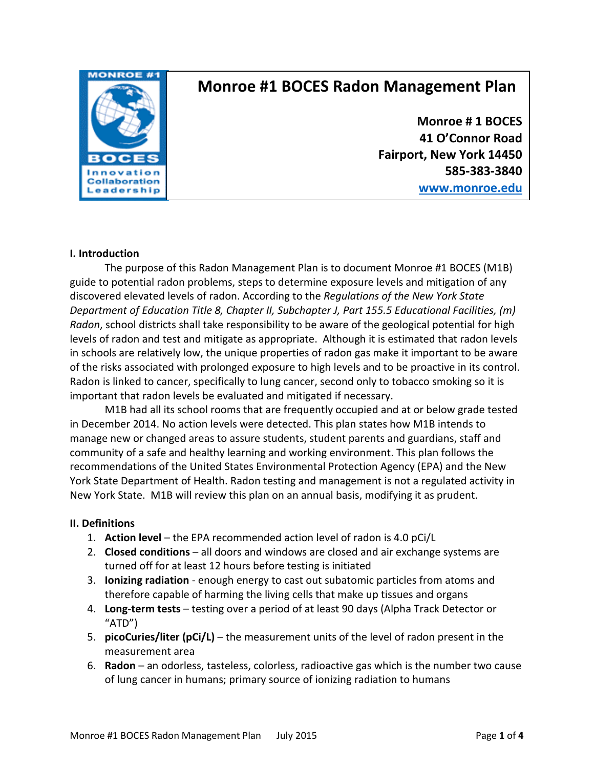

# **Monroe #1 BOCES Radon Management Plan**

**Monroe # 1 BOCES 41 O'Connor Road Fairport, New York 14450 585-383-3840**

**[www.monroe.edu](http://www.monroe.edu/)**

### **I. Introduction**

The purpose of this Radon Management Plan is to document Monroe #1 BOCES (M1B) guide to potential radon problems, steps to determine exposure levels and mitigation of any discovered elevated levels of radon. According to the *Regulations of the New York State Department of Education Title 8, Chapter II, Subchapter J, Part 155.5 Educational Facilities, (m) Radon*, school districts shall take responsibility to be aware of the geological potential for high levels of radon and test and mitigate as appropriate. Although it is estimated that radon levels in schools are relatively low, the unique properties of radon gas make it important to be aware of the risks associated with prolonged exposure to high levels and to be proactive in its control. Radon is linked to cancer, specifically to lung cancer, second only to tobacco smoking so it is important that radon levels be evaluated and mitigated if necessary.

M1B had all its school rooms that are frequently occupied and at or below grade tested in December 2014. No action levels were detected. This plan states how M1B intends to manage new or changed areas to assure students, student parents and guardians, staff and community of a safe and healthy learning and working environment. This plan follows the recommendations of the United States Environmental Protection Agency (EPA) and the New York State Department of Health. Radon testing and management is not a regulated activity in New York State. M1B will review this plan on an annual basis, modifying it as prudent.

# **II. Definitions**

- 1. **Action level**  the EPA recommended action level of radon is 4.0 pCi/L
- 2. **Closed conditions**  all doors and windows are closed and air exchange systems are turned off for at least 12 hours before testing is initiated
- 3. **Ionizing radiation** enough energy to cast out subatomic particles from atoms and therefore capable of harming the living cells that make up tissues and organs
- 4. **Long-term tests**  testing over a period of at least 90 days (Alpha Track Detector or "ATD")
- 5. **picoCuries/liter (pCi/L)**  the measurement units of the level of radon present in the measurement area
- 6. **Radon**  an odorless, tasteless, colorless, radioactive gas which is the number two cause of lung cancer in humans; primary source of ionizing radiation to humans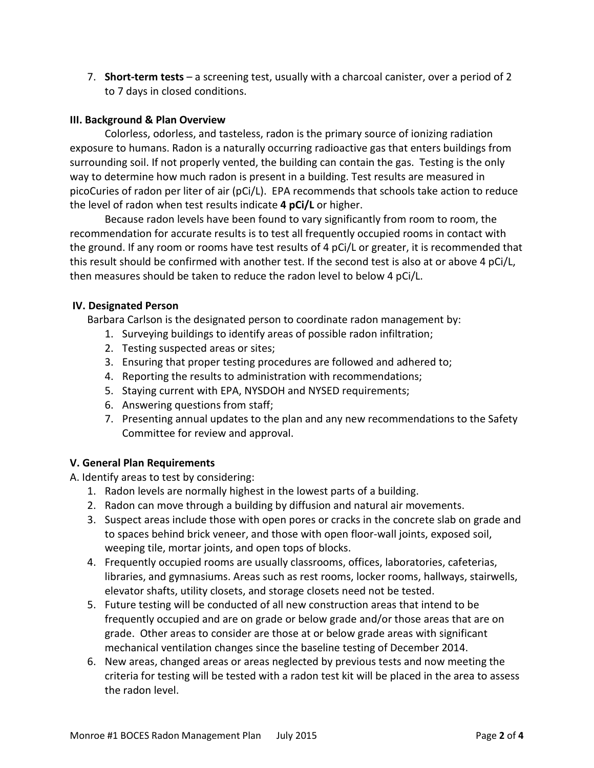7. **Short-term tests** – a screening test, usually with a charcoal canister, over a period of 2 to 7 days in closed conditions.

# **III. Background & Plan Overview**

Colorless, odorless, and tasteless, radon is the primary source of ionizing radiation exposure to humans. Radon is a naturally occurring radioactive gas that enters buildings from surrounding soil. If not properly vented, the building can contain the gas. Testing is the only way to determine how much radon is present in a building. Test results are measured in picoCuries of radon per liter of air (pCi/L). EPA recommends that schools take action to reduce the level of radon when test results indicate **4 pCi/L** or higher.

Because radon levels have been found to vary significantly from room to room, the recommendation for accurate results is to test all frequently occupied rooms in contact with the ground. If any room or rooms have test results of 4 pCi/L or greater, it is recommended that this result should be confirmed with another test. If the second test is also at or above 4 pCi/L, then measures should be taken to reduce the radon level to below 4 pCi/L.

# **IV. Designated Person**

Barbara Carlson is the designated person to coordinate radon management by:

- 1. Surveying buildings to identify areas of possible radon infiltration;
- 2. Testing suspected areas or sites;
- 3. Ensuring that proper testing procedures are followed and adhered to;
- 4. Reporting the results to administration with recommendations;
- 5. Staying current with EPA, NYSDOH and NYSED requirements;
- 6. Answering questions from staff;
- 7. Presenting annual updates to the plan and any new recommendations to the Safety Committee for review and approval.

# **V. General Plan Requirements**

A. Identify areas to test by considering:

- 1. Radon levels are normally highest in the lowest parts of a building.
- 2. Radon can move through a building by diffusion and natural air movements.
- 3. Suspect areas include those with open pores or cracks in the concrete slab on grade and to spaces behind brick veneer, and those with open floor-wall joints, exposed soil, weeping tile, mortar joints, and open tops of blocks.
- 4. Frequently occupied rooms are usually classrooms, offices, laboratories, cafeterias, libraries, and gymnasiums. Areas such as rest rooms, locker rooms, hallways, stairwells, elevator shafts, utility closets, and storage closets need not be tested.
- 5. Future testing will be conducted of all new construction areas that intend to be frequently occupied and are on grade or below grade and/or those areas that are on grade. Other areas to consider are those at or below grade areas with significant mechanical ventilation changes since the baseline testing of December 2014.
- 6. New areas, changed areas or areas neglected by previous tests and now meeting the criteria for testing will be tested with a radon test kit will be placed in the area to assess the radon level.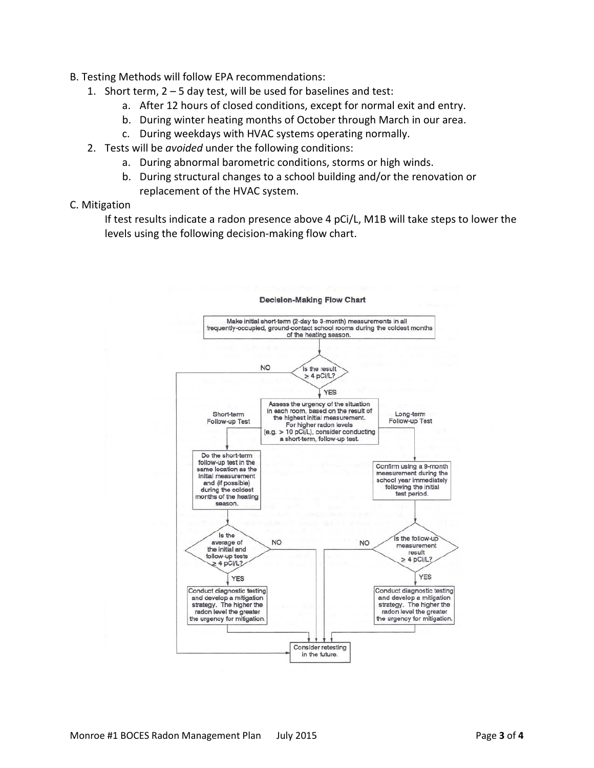- B. Testing Methods will follow EPA recommendations:
	- 1. Short term, 2 5 day test, will be used for baselines and test:
		- a. After 12 hours of closed conditions, except for normal exit and entry.
		- b. During winter heating months of October through March in our area.
		- c. During weekdays with HVAC systems operating normally.
	- 2. Tests will be *avoided* under the following conditions:
		- a. During abnormal barometric conditions, storms or high winds.
		- b. During structural changes to a school building and/or the renovation or replacement of the HVAC system.

# C. Mitigation

If test results indicate a radon presence above 4 pCi/L, M1B will take steps to lower the levels using the following decision-making flow chart.



#### **Decision-Making Flow Chart**